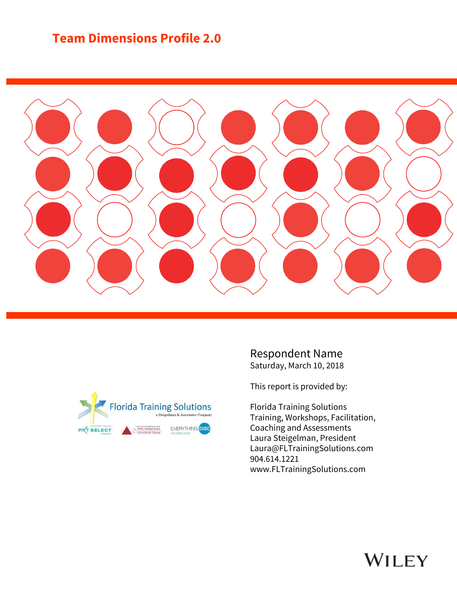# **Team Dimensions Profile 2.0**





Respondent Name Saturday, March 10, 2018

This report is provided by:

Florida Training Solutions Training, Workshops, Facilitation, Coaching and Assessments Laura Steigelman, President Laura@FLTrainingSolutions.com 904.614.1221 www.FLTrainingSolutions.com

# WILEY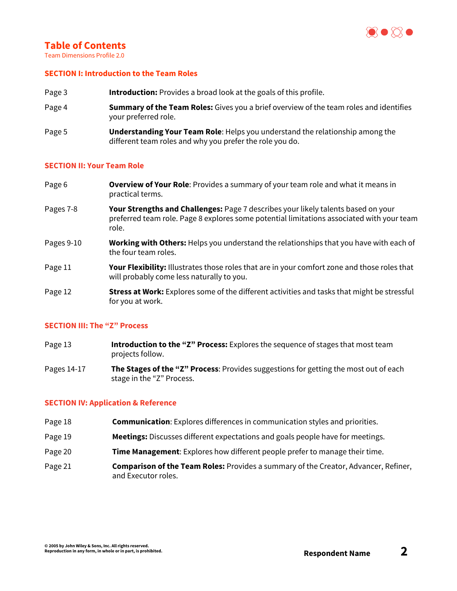

# **Table of Contents**

Team Dimensions Profile 2.0

#### **SECTION I: Introduction to the Team Roles**

- Page 3 **Introduction:** Provides a broad look at the goals of this profile.
- Page 4 **Summary of the Team Roles:** Gives you a brief overview of the team roles and identifies your preferred role.
- Page 5 **Understanding Your Team Role**: Helps you understand the relationship among the different team roles and why you prefer the role you do.

#### **SECTION II: Your Team Role**

- Page 6 **Overview of Your Role**: Provides a summary of your team role and what it means in practical terms.
- Pages 7-8 **Your Strengths and Challenges:** Page 7 describes your likely talents based on your preferred team role. Page 8 explores some potential limitations associated with your team role.
- Pages 9-10 **Working with Others:** Helps you understand the relationships that you have with each of the four team roles.
- Page 11 **Your Flexibility:** Illustrates those roles that are in your comfort zone and those roles that will probably come less naturally to you.
- Page 12 **Stress at Work:** Explores some of the different activities and tasks that might be stressful for you at work.

#### **SECTION III: The "Z" Process**

- Page 13 **Introduction to the "Z" Process:** Explores the sequence of stages that most team projects follow.
- Pages 14-17 **The Stages of the "Z" Process**: Provides suggestions for getting the most out of each stage in the "Z" Process.

#### **SECTION IV: Application & Reference**

- Page 18 **Communication**: Explores differences in communication styles and priorities.
- Page 19 **Meetings:** Discusses different expectations and goals people have for meetings.
- Page 20 **Time Management**: Explores how different people prefer to manage their time.
- Page 21 **Comparison of the Team Roles:** Provides a summary of the Creator, Advancer, Refiner, and Executor roles.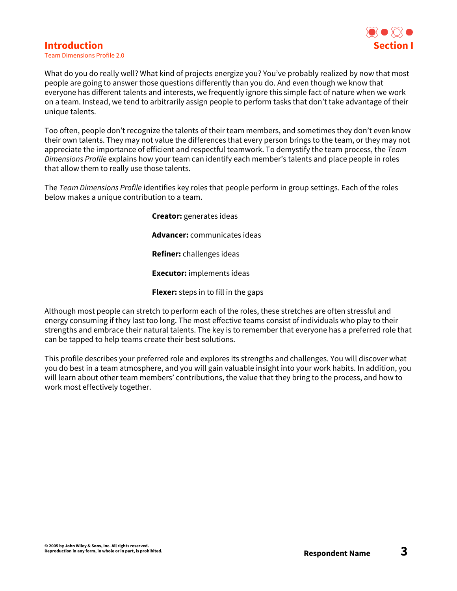## **Introduction**



Team Dimensions Profile 2.0

What do you do really well? What kind of projects energize you? You've probably realized by now that most people are going to answer those questions differently than you do. And even though we know that everyone has different talents and interests, we frequently ignore this simple fact of nature when we work on a team. Instead, we tend to arbitrarily assign people to perform tasks that don't take advantage of their unique talents.

Too often, people don't recognize the talents of their team members, and sometimes they don't even know their own talents. They may not value the differences that every person brings to the team, or they may not appreciate the importance of efficient and respectful teamwork. To demystify the team process, the *Team Dimensions Profile* explains how your team can identify each member's talents and place people in roles that allow them to really use those talents.

The *Team Dimensions Profile* identifies key roles that people perform in group settings. Each of the roles below makes a unique contribution to a team.

**Creator:** generates ideas

**Advancer:** communicates ideas

**Refiner:** challenges ideas

**Executor:** implements ideas

**Flexer:** steps in to fill in the gaps

Although most people can stretch to perform each of the roles, these stretches are often stressful and energy consuming if they last too long. The most effective teams consist of individuals who play to their strengths and embrace their natural talents. The key is to remember that everyone has a preferred role that can be tapped to help teams create their best solutions.

This profile describes your preferred role and explores its strengths and challenges. You will discover what you do best in a team atmosphere, and you will gain valuable insight into your work habits. In addition, you will learn about other team members' contributions, the value that they bring to the process, and how to work most effectively together.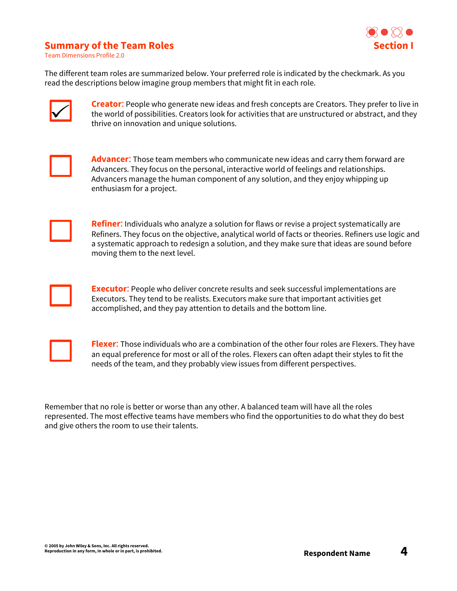# **Section I**

## **Summary of the Team Roles**

Team Dimensions Profile 2.0

The different team roles are summarized below. Your preferred role is indicated by the checkmark. As you read the descriptions below imagine group members that might fit in each role.



**Creator**: People who generate new ideas and fresh concepts are Creators. They prefer to live in the world of possibilities. Creators look for activities that are unstructured or abstract, and they thrive on innovation and unique solutions.



**Advancer**: Those team members who communicate new ideas and carry them forward are Advancers. They focus on the personal, interactive world of feelings and relationships. Advancers manage the human component of any solution, and they enjoy whipping up enthusiasm for a project.



**Refiner**: Individuals who analyze a solution for flaws or revise a project systematically are Refiners. They focus on the objective, analytical world of facts or theories. Refiners use logic and a systematic approach to redesign a solution, and they make sure that ideas are sound before moving them to the next level.



**Executor**: People who deliver concrete results and seek successful implementations are Executors. They tend to be realists. Executors make sure that important activities get accomplished, and they pay attention to details and the bottom line.



**Flexer**: Those individuals who are a combination of the other four roles are Flexers. They have an equal preference for most or all of the roles. Flexers can often adapt their styles to fit the needs of the team, and they probably view issues from different perspectives.

Remember that no role is better or worse than any other. A balanced team will have all the roles represented. The most effective teams have members who find the opportunities to do what they do best and give others the room to use their talents.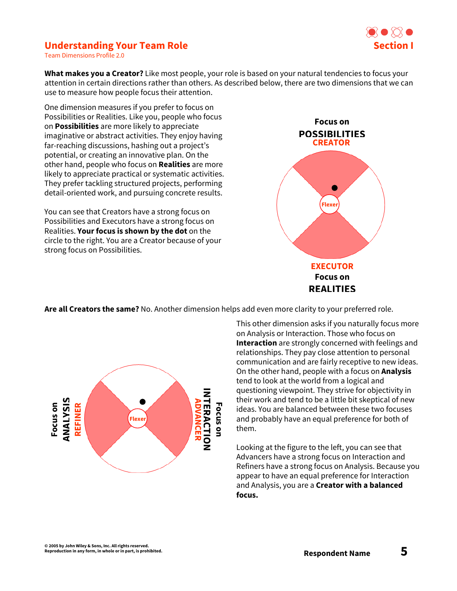

# **Understanding Your Team Role**

Team Dimensions Profile 2.0

**What makes you a Creator?** Like most people, your role is based on your natural tendencies to focus your attention in certain directions rather than others. As described below, there are two dimensions that we can use to measure how people focus their attention.

One dimension measures if you prefer to focus on Possibilities or Realities. Like you, people who focus on **Possibilities** are more likely to appreciate imaginative or abstract activities. They enjoy having far-reaching discussions, hashing out a project's potential, or creating an innovative plan. On the other hand, people who focus on **Realities** are more likely to appreciate practical or systematic activities. They prefer tackling structured projects, performing detail-oriented work, and pursuing concrete results.

You can see that Creators have a strong focus on Possibilities and Executors have a strong focus on Realities. **Your focus is shown by the dot** on the circle to the right. You are a Creator because of your strong focus on Possibilities.



**Are all Creators the same?** No. Another dimension helps add even more clarity to your preferred role.



This other dimension asks if you naturally focus more on Analysis or Interaction. Those who focus on **Interaction** are strongly concerned with feelings and relationships. They pay close attention to personal communication and are fairly receptive to new ideas. On the other hand, people with a focus on **Analysis** tend to look at the world from a logical and questioning viewpoint. They strive for objectivity in their work and tend to be a little bit skeptical of new ideas. You are balanced between these two focuses and probably have an equal preference for both of them.

Looking at the figure to the left, you can see that Advancers have a strong focus on Interaction and Refiners have a strong focus on Analysis. Because you appear to have an equal preference for Interaction and Analysis, you are a **Creator with a balanced focus.**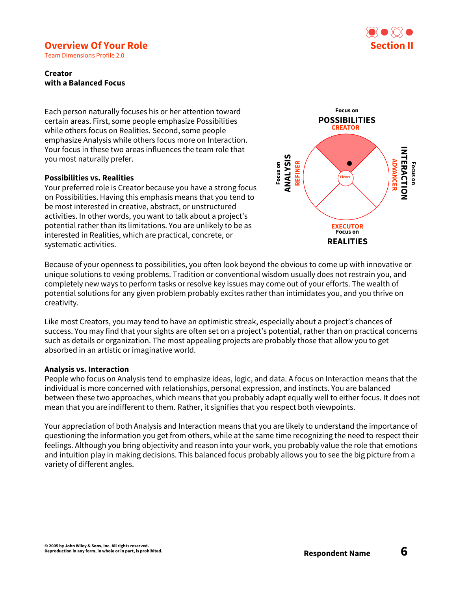# KO XX **Section II**

# **Overview Of Your Role**

Team Dimensions Profile 2.0

#### **Creator with a Balanced Focus**

Each person naturally focuses his or her attention toward certain areas. First, some people emphasize Possibilities while others focus on Realities. Second, some people emphasize Analysis while others focus more on Interaction. Your focus in these two areas influences the team role that you most naturally prefer.

#### **Possibilities vs. Realities**

Your preferred role is Creator because you have a strong focus on Possibilities. Having this emphasis means that you tend to be most interested in creative, abstract, or unstructured activities. In other words, you want to talk about a project's potential rather than its limitations. You are unlikely to be as interested in Realities, which are practical, concrete, or systematic activities.



Because of your openness to possibilities, you often look beyond the obvious to come up with innovative or unique solutions to vexing problems. Tradition or conventional wisdom usually does not restrain you, and completely new ways to perform tasks or resolve key issues may come out of your efforts. The wealth of potential solutions for any given problem probably excites rather than intimidates you, and you thrive on creativity.

Like most Creators, you may tend to have an optimistic streak, especially about a project's chances of success. You may find that your sights are often set on a project's potential, rather than on practical concerns such as details or organization. The most appealing projects are probably those that allow you to get absorbed in an artistic or imaginative world.

#### **Analysis vs. Interaction**

People who focus on Analysis tend to emphasize ideas, logic, and data. A focus on Interaction means that the individual is more concerned with relationships, personal expression, and instincts. You are balanced between these two approaches, which means that you probably adapt equally well to either focus. It does not mean that you are indifferent to them. Rather, it signifies that you respect both viewpoints.

Your appreciation of both Analysis and Interaction means that you are likely to understand the importance of questioning the information you get from others, while at the same time recognizing the need to respect their feelings. Although you bring objectivity and reason into your work, you probably value the role that emotions and intuition play in making decisions. This balanced focus probably allows you to see the big picture from a variety of different angles.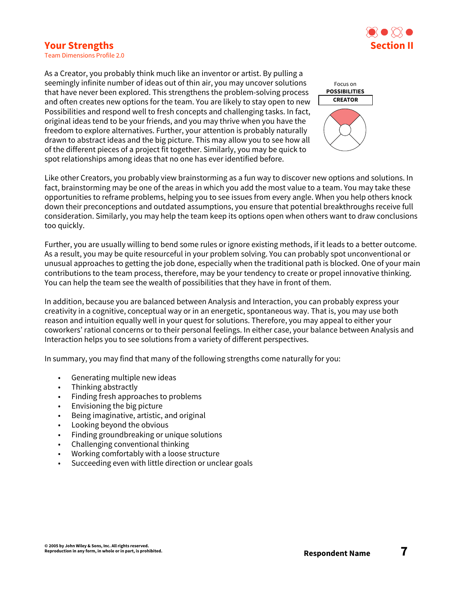# **Your Strengths**



Team Dimensions Profile 2.0

As a Creator, you probably think much like an inventor or artist. By pulling a seemingly infinite number of ideas out of thin air, you may uncover solutions that have never been explored. This strengthens the problem-solving process and often creates new options for the team. You are likely to stay open to new Possibilities and respond well to fresh concepts and challenging tasks. In fact, original ideas tend to be your friends, and you may thrive when you have the freedom to explore alternatives. Further, your attention is probably naturally drawn to abstract ideas and the big picture. This may allow you to see how all of the different pieces of a project fit together. Similarly, you may be quick to spot relationships among ideas that no one has ever identified before.



Like other Creators, you probably view brainstorming as a fun way to discover new options and solutions. In fact, brainstorming may be one of the areas in which you add the most value to a team. You may take these opportunities to reframe problems, helping you to see issues from every angle. When you help others knock down their preconceptions and outdated assumptions, you ensure that potential breakthroughs receive full consideration. Similarly, you may help the team keep its options open when others want to draw conclusions too quickly.

Further, you are usually willing to bend some rules or ignore existing methods, if it leads to a better outcome. As a result, you may be quite resourceful in your problem solving. You can probably spot unconventional or unusual approaches to getting the job done, especially when the traditional path is blocked. One of your main contributions to the team process, therefore, may be your tendency to create or propel innovative thinking. You can help the team see the wealth of possibilities that they have in front of them.

In addition, because you are balanced between Analysis and Interaction, you can probably express your creativity in a cognitive, conceptual way or in an energetic, spontaneous way. That is, you may use both reason and intuition equally well in your quest for solutions. Therefore, you may appeal to either your coworkers' rational concerns or to their personal feelings. In either case, your balance between Analysis and Interaction helps you to see solutions from a variety of different perspectives.

In summary, you may find that many of the following strengths come naturally for you:

- Generating multiple new ideas
- Thinking abstractly
- Finding fresh approaches to problems
- Envisioning the big picture
- Being imaginative, artistic, and original
- Looking beyond the obvious
- Finding groundbreaking or unique solutions
- Challenging conventional thinking
- Working comfortably with a loose structure
- Succeeding even with little direction or unclear goals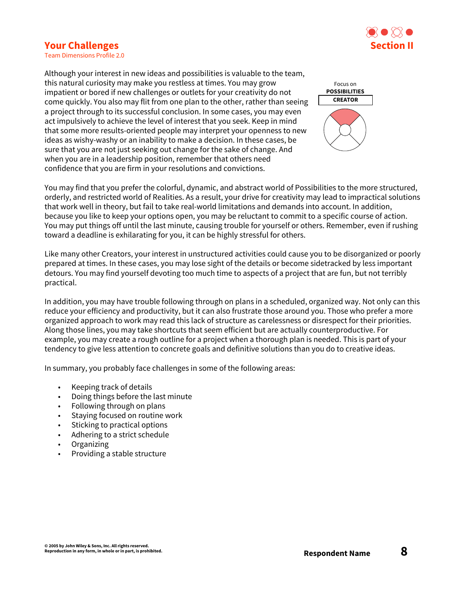# **Section II**

## **Your Challenges**

Team Dimensions Profile 2.0

Although your interest in new ideas and possibilities is valuable to the team, this natural curiosity may make you restless at times. You may grow impatient or bored if new challenges or outlets for your creativity do not come quickly. You also may flit from one plan to the other, rather than seeing a project through to its successful conclusion. In some cases, you may even act impulsively to achieve the level of interest that you seek. Keep in mind that some more results-oriented people may interpret your openness to new ideas as wishy-washy or an inability to make a decision. In these cases, be sure that you are not just seeking out change for the sake of change. And when you are in a leadership position, remember that others need confidence that you are firm in your resolutions and convictions.



You may find that you prefer the colorful, dynamic, and abstract world of Possibilities to the more structured, orderly, and restricted world of Realities. As a result, your drive for creativity may lead to impractical solutions that work well in theory, but fail to take real-world limitations and demands into account. In addition, because you like to keep your options open, you may be reluctant to commit to a specific course of action. You may put things off until the last minute, causing trouble for yourself or others. Remember, even if rushing toward a deadline is exhilarating for you, it can be highly stressful for others.

Like many other Creators, your interest in unstructured activities could cause you to be disorganized or poorly prepared at times. In these cases, you may lose sight of the details or become sidetracked by less important detours. You may find yourself devoting too much time to aspects of a project that are fun, but not terribly practical.

In addition, you may have trouble following through on plans in a scheduled, organized way. Not only can this reduce your efficiency and productivity, but it can also frustrate those around you. Those who prefer a more organized approach to work may read this lack of structure as carelessness or disrespect for their priorities. Along those lines, you may take shortcuts that seem efficient but are actually counterproductive. For example, you may create a rough outline for a project when a thorough plan is needed. This is part of your tendency to give less attention to concrete goals and definitive solutions than you do to creative ideas.

In summary, you probably face challenges in some of the following areas:

- Keeping track of details
- Doing things before the last minute
- Following through on plans
- Staying focused on routine work
- Sticking to practical options
- Adhering to a strict schedule
- Organizing
- Providing a stable structure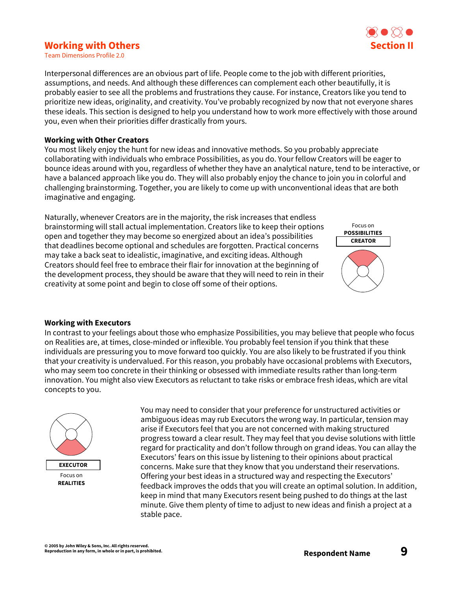# **Working with Others**

 $\bullet$  0 10 0 **Section II**

Team Dimensions Profile 2.0

Interpersonal differences are an obvious part of life. People come to the job with different priorities, assumptions, and needs. And although these differences can complement each other beautifully, it is probably easier to see all the problems and frustrations they cause. For instance, Creators like you tend to prioritize new ideas, originality, and creativity. You've probably recognized by now that not everyone shares these ideals. This section is designed to help you understand how to work more effectively with those around you, even when their priorities differ drastically from yours.

#### **Working with Other Creators**

You most likely enjoy the hunt for new ideas and innovative methods. So you probably appreciate collaborating with individuals who embrace Possibilities, as you do. Your fellow Creators will be eager to bounce ideas around with you, regardless of whether they have an analytical nature, tend to be interactive, or have a balanced approach like you do. They will also probably enjoy the chance to join you in colorful and challenging brainstorming. Together, you are likely to come up with unconventional ideas that are both imaginative and engaging.

Naturally, whenever Creators are in the majority, the risk increases that endless brainstorming will stall actual implementation. Creators like to keep their options open and together they may become so energized about an idea's possibilities that deadlines become optional and schedules are forgotten. Practical concerns may take a back seat to idealistic, imaginative, and exciting ideas. Although Creators should feel free to embrace their flair for innovation at the beginning of the development process, they should be aware that they will need to rein in their creativity at some point and begin to close off some of their options.



#### **Working with Executors**

In contrast to your feelings about those who emphasize Possibilities, you may believe that people who focus on Realities are, at times, close-minded or inflexible. You probably feel tension if you think that these individuals are pressuring you to move forward too quickly. You are also likely to be frustrated if you think that your creativity is undervalued. For this reason, you probably have occasional problems with Executors, who may seem too concrete in their thinking or obsessed with immediate results rather than long-term innovation. You might also view Executors as reluctant to take risks or embrace fresh ideas, which are vital concepts to you.



You may need to consider that your preference for unstructured activities or ambiguous ideas may rub Executors the wrong way. In particular, tension may arise if Executors feel that you are not concerned with making structured progress toward a clear result. They may feel that you devise solutions with little regard for practicality and don't follow through on grand ideas. You can allay the Executors' fears on this issue by listening to their opinions about practical concerns. Make sure that they know that you understand their reservations. Offering your best ideas in a structured way and respecting the Executors' feedback improves the odds that you will create an optimal solution. In addition, keep in mind that many Executors resent being pushed to do things at the last minute. Give them plenty of time to adjust to new ideas and finish a project at a stable pace.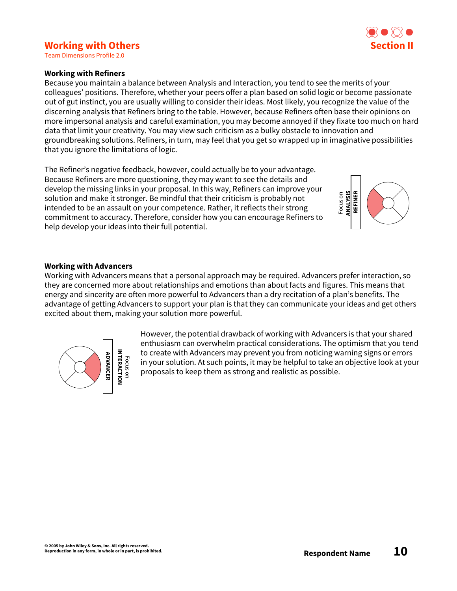# **Working with Others**

Team Dimensions Profile 2.0

#### **Working with Refiners**

Because you maintain a balance between Analysis and Interaction, you tend to see the merits of your colleagues' positions. Therefore, whether your peers offer a plan based on solid logic or become passionate out of gut instinct, you are usually willing to consider their ideas. Most likely, you recognize the value of the discerning analysis that Refiners bring to the table. However, because Refiners often base their opinions on more impersonal analysis and careful examination, you may become annoyed if they fixate too much on hard data that limit your creativity. You may view such criticism as a bulky obstacle to innovation and groundbreaking solutions. Refiners, in turn, may feel that you get so wrapped up in imaginative possibilities that you ignore the limitations of logic.

The Refiner's negative feedback, however, could actually be to your advantage. Because Refiners are more questioning, they may want to see the details and develop the missing links in your proposal. In this way, Refiners can improve your solution and make it stronger. Be mindful that their criticism is probably not intended to be an assault on your competence. Rather, it reflects their strong commitment to accuracy. Therefore, consider how you can encourage Refiners to help develop your ideas into their full potential.



#### **Working with Advancers**

Working with Advancers means that a personal approach may be required. Advancers prefer interaction, so they are concerned more about relationships and emotions than about facts and figures. This means that energy and sincerity are often more powerful to Advancers than a dry recitation of a plan's benefits. The advantage of getting Advancers to support your plan is that they can communicate your ideas and get others excited about them, making your solution more powerful.



However, the potential drawback of working with Advancers is that your shared enthusiasm can overwhelm practical considerations. The optimism that you tend to create with Advancers may prevent you from noticing warning signs or errors in your solution. At such points, it may be helpful to take an objective look at your proposals to keep them as strong and realistic as possible.

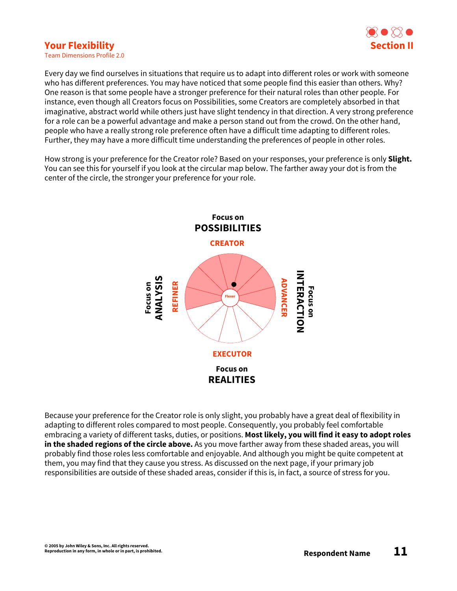# **Your Flexibility**



Team Dimensions Profile 2.0

Every day we find ourselves in situations that require us to adapt into different roles or work with someone who has different preferences. You may have noticed that some people find this easier than others. Why? One reason is that some people have a stronger preference for their natural roles than other people. For instance, even though all Creators focus on Possibilities, some Creators are completely absorbed in that imaginative, abstract world while others just have slight tendency in that direction. A very strong preference for a role can be a powerful advantage and make a person stand out from the crowd. On the other hand, people who have a really strong role preference often have a difficult time adapting to different roles. Further, they may have a more difficult time understanding the preferences of people in other roles.

How strong is your preference for the Creator role? Based on your responses, your preference is only **Slight.** You can see this for yourself if you look at the circular map below. The farther away your dot is from the center of the circle, the stronger your preference for your role.



Because your preference for the Creator role is only slight, you probably have a great deal of flexibility in adapting to different roles compared to most people. Consequently, you probably feel comfortable embracing a variety of different tasks, duties, or positions. **Most likely, you will find it easy to adopt roles in the shaded regions of the circle above.** As you move farther away from these shaded areas, you will probably find those roles less comfortable and enjoyable. And although you might be quite competent at them, you may find that they cause you stress. As discussed on the next page, if your primary job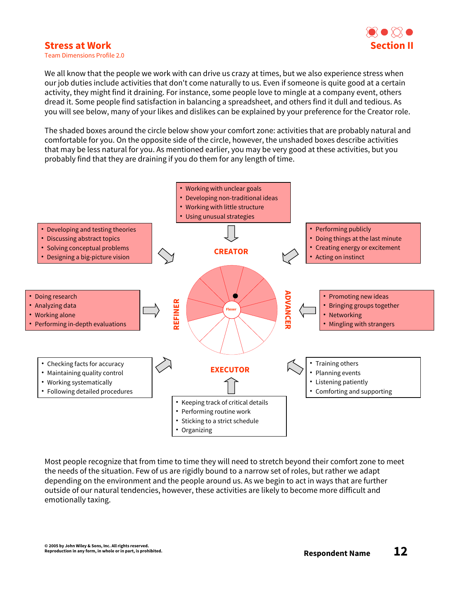# ROXO **Section II**

## **Stress at Work**

Team Dimensions Profile 2.0

We all know that the people we work with can drive us crazy at times, but we also experience stress when our job duties include activities that don't come naturally to us. Even if someone is quite good at a certain activity, they might find it draining. For instance, some people love to mingle at a company event, others dread it. Some people find satisfaction in balancing a spreadsheet, and others find it dull and tedious. As you will see below, many of your likes and dislikes can be explained by your preference for the Creator role.

The shaded boxes around the circle below show your comfort zone: activities that are probably natural and comfortable for you. On the opposite side of the circle, however, the unshaded boxes describe activities that may be less natural for you. As mentioned earlier, you may be very good at these activities, but you probably find that they are draining if you do them for any length of time.



Most people recognize that from time to time they will need to stretch beyond their comfort zone to meet the needs of the situation. Few of us are rigidly bound to a narrow set of roles, but rather we adapt depending on the environment and the people around us. As we begin to act in ways that are further outside of our natural tendencies, however, these activities are likely to become more difficult and emotionally taxing.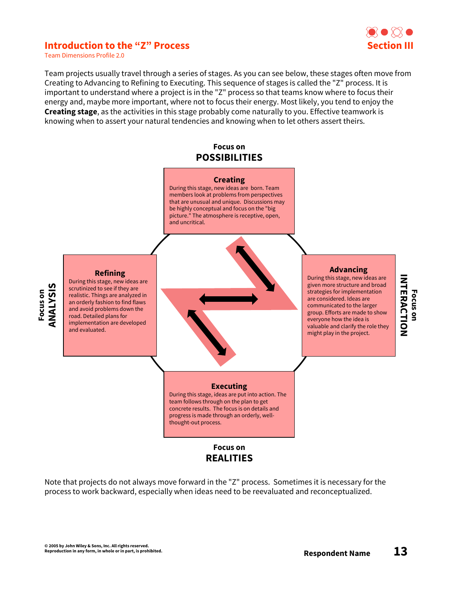## **Introduction to the "Z" Process**



Team Dimensions Profile 2.0

Team projects usually travel through a series of stages. As you can see below, these stages often move from Creating to Advancing to Refining to Executing. This sequence of stages is called the "Z" process. It is important to understand where a project is in the "Z" process so that teams know where to focus their energy and, maybe more important, where not to focus their energy. Most likely, you tend to enjoy the **Creating stage**, as the activities in this stage probably come naturally to you. Effective teamwork is knowing when to assert your natural tendencies and knowing when to let others assert theirs.

#### **Focus on POSSIBILITIES**



Note that projects do not always move forward in the "Z" process. Sometimes it is necessary for the process to work backward, especially when ideas need to be reevaluated and reconceptualized.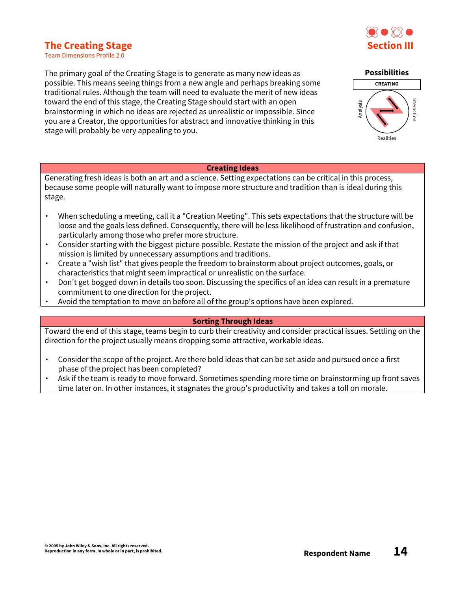# $\bigcirc$   $\bigcirc$ **Section III**

# **The Creating Stage**

Team Dimensions Profile 2.0

The primary goal of the Creating Stage is to generate as many new ideas as possible. This means seeing things from a new angle and perhaps breaking some traditional rules. Although the team will need to evaluate the merit of new ideas toward the end of this stage, the Creating Stage should start with an open brainstorming in which no ideas are rejected as unrealistic or impossible. Since you are a Creator, the opportunities for abstract and innovative thinking in this stage will probably be very appealing to you.

#### **Creating Ideas**

Generating fresh ideas is both an art and a science. Setting expectations can be critical in this process, because some people will naturally want to impose more structure and tradition than is ideal during this stage.

- ∙ When scheduling a meeting, call it a "Creation Meeting". This sets expectations that the structure will be loose and the goals less defined. Consequently, there will be less likelihood of frustration and confusion, particularly among those who prefer more structure.
- ∙ Consider starting with the biggest picture possible. Restate the mission of the project and ask if that mission is limited by unnecessary assumptions and traditions.
- ∙ Create a "wish list" that gives people the freedom to brainstorm about project outcomes, goals, or characteristics that might seem impractical or unrealistic on the surface.
- ∙ Don't get bogged down in details too soon. Discussing the specifics of an idea can result in a premature commitment to one direction for the project.
- ∙ Avoid the temptation to move on before all of the group's options have been explored.

#### **Sorting Through Ideas**

Toward the end of this stage, teams begin to curb their creativity and consider practical issues. Settling on the direction for the project usually means dropping some attractive, workable ideas.

- ∙ Consider the scope of the project. Are there bold ideas that can be set aside and pursued once a first phase of the project has been completed?
- ∙ Ask if the team is ready to move forward. Sometimes spending more time on brainstorming up front saves time later on. In other instances, it stagnates the group's productivity and takes a toll on morale.

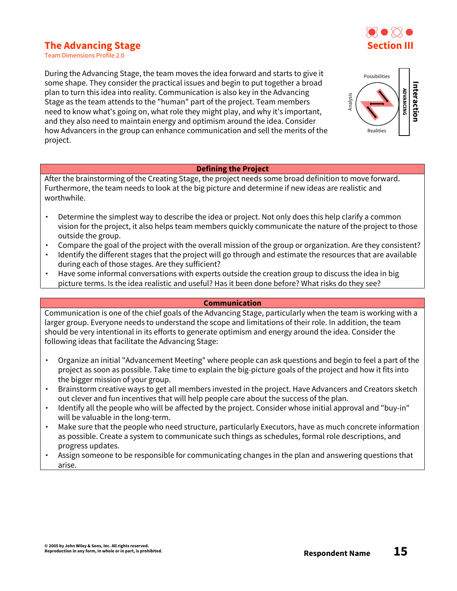# **The Advancing Stage**



Team Dimensions Profile 2.0

During the Advancing Stage, the team moves the idea forward and starts to give it some shape. They consider the practical issues and begin to put together a broad plan to turn this idea into reality. Communication is also key in the Advancing Stage as the team attends to the "human" part of the project. Team members need to know what's going on, what role they might play, and why it's important, and they also need to maintain energy and optimism around the idea. Consider how Advancers in the group can enhance communication and sell the merits of the project.



#### **Defining the Project**

After the brainstorming of the Creating Stage, the project needs some broad definition to move forward. Furthermore, the team needs to look at the big picture and determine if new ideas are realistic and worthwhile.

- ∙ Determine the simplest way to describe the idea or project. Not only does this help clarify a common vision for the project, it also helps team members quickly communicate the nature of the project to those outside the group.
- ∙ Compare the goal of the project with the overall mission of the group or organization. Are they consistent?
- ∙ Identify the different stages that the project will go through and estimate the resources that are available during each of those stages. Are they sufficient?
- ∙ Have some informal conversations with experts outside the creation group to discuss the idea in big picture terms. Is the idea realistic and useful? Has it been done before? What risks do they see?

#### **Communication**

Communication is one of the chief goals of the Advancing Stage, particularly when the team is working with a larger group. Everyone needs to understand the scope and limitations of their role. In addition, the team should be very intentional in its efforts to generate optimism and energy around the idea. Consider the following ideas that facilitate the Advancing Stage:

- ∙ Organize an initial "Advancement Meeting" where people can ask questions and begin to feel a part of the project as soon as possible. Take time to explain the big-picture goals of the project and how it fits into the bigger mission of your group.
- ∙ Brainstorm creative ways to get all members invested in the project. Have Advancers and Creators sketch out clever and fun incentives that will help people care about the success of the plan.
- ∙ Identify all the people who will be affected by the project. Consider whose initial approval and "buy-in" will be valuable in the long-term.
- ∙ Make sure that the people who need structure, particularly Executors, have as much concrete information as possible. Create a system to communicate such things as schedules, formal role descriptions, and progress updates.
- ∙ Assign someone to be responsible for communicating changes in the plan and answering questions that arise.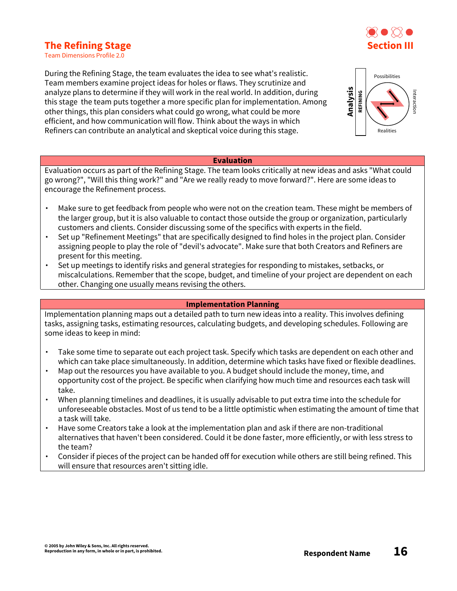# **The Refining Stage**



Team Dimensions Profile 2.0

During the Refining Stage, the team evaluates the idea to see what's realistic. Team members examine project ideas for holes or flaws. They scrutinize and analyze plans to determine if they will work in the real world. In addition, during this stage the team puts together a more specific plan for implementation. Among other things, this plan considers what could go wrong, what could be more efficient, and how communication will flow. Think about the ways in which Refiners can contribute an analytical and skeptical voice during this stage.



#### **Evaluation**

Evaluation occurs as part of the Refining Stage. The team looks critically at new ideas and asks "What could go wrong?", "Will this thing work?" and "Are we really ready to move forward?". Here are some ideas to encourage the Refinement process.

- ∙ Make sure to get feedback from people who were not on the creation team. These might be members of the larger group, but it is also valuable to contact those outside the group or organization, particularly customers and clients. Consider discussing some of the specifics with experts in the field.
- ∙ Set up "Refinement Meetings" that are specifically designed to find holes in the project plan. Consider assigning people to play the role of "devil's advocate". Make sure that both Creators and Refiners are present for this meeting.
- ∙ Set up meetings to identify risks and general strategies for responding to mistakes, setbacks, or miscalculations. Remember that the scope, budget, and timeline of your project are dependent on each other. Changing one usually means revising the others.

#### **Implementation Planning**

Implementation planning maps out a detailed path to turn new ideas into a reality. This involves defining tasks, assigning tasks, estimating resources, calculating budgets, and developing schedules. Following are some ideas to keep in mind:

- ∙ Take some time to separate out each project task. Specify which tasks are dependent on each other and which can take place simultaneously. In addition, determine which tasks have fixed or flexible deadlines.
- ∙ Map out the resources you have available to you. A budget should include the money, time, and opportunity cost of the project. Be specific when clarifying how much time and resources each task will take.
- ∙ When planning timelines and deadlines, it is usually advisable to put extra time into the schedule for unforeseeable obstacles. Most of us tend to be a little optimistic when estimating the amount of time that a task will take.
- ∙ Have some Creators take a look at the implementation plan and ask if there are non-traditional alternatives that haven't been considered. Could it be done faster, more efficiently, or with less stress to the team?
- ∙ Consider if pieces of the project can be handed off for execution while others are still being refined. This will ensure that resources aren't sitting idle.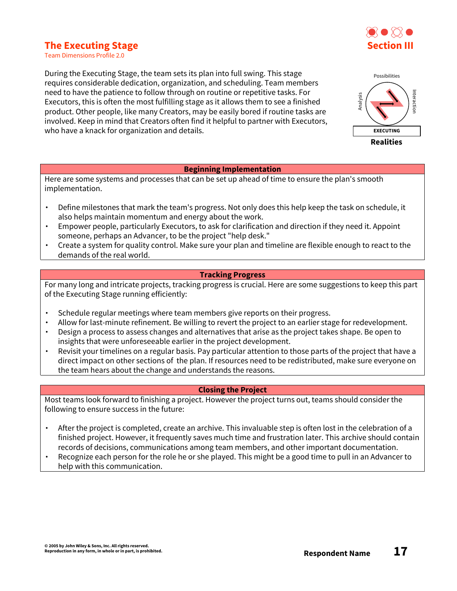# $\bigcap$ **Section III**

# **The Executing Stage**

Team Dimensions Profile 2.0

During the Executing Stage, the team sets its plan into full swing. This stage requires considerable dedication, organization, and scheduling. Team members need to have the patience to follow through on routine or repetitive tasks. For Executors, this is often the most fulfilling stage as it allows them to see a finished product. Other people, like many Creators, may be easily bored if routine tasks are involved. Keep in mind that Creators often find it helpful to partner with Executors, who have a knack for organization and details.

#### **Beginning Implementation**

Here are some systems and processes that can be set up ahead of time to ensure the plan's smooth implementation.

- ∙ Define milestones that mark the team's progress. Not only does this help keep the task on schedule, it also helps maintain momentum and energy about the work.
- ∙ Empower people, particularly Executors, to ask for clarification and direction if they need it. Appoint someone, perhaps an Advancer, to be the project "help desk."
- ∙ Create a system for quality control. Make sure your plan and timeline are flexible enough to react to the demands of the real world.

#### **Tracking Progress**

For many long and intricate projects, tracking progress is crucial. Here are some suggestions to keep this part of the Executing Stage running efficiently:

- ∙ Schedule regular meetings where team members give reports on their progress.
- ∙ Allow for last-minute refinement. Be willing to revert the project to an earlier stage for redevelopment.
- ∙ Design a process to assess changes and alternatives that arise as the project takes shape. Be open to insights that were unforeseeable earlier in the project development.
- ∙ Revisit your timelines on a regular basis. Pay particular attention to those parts of the project that have a direct impact on other sections of the plan. If resources need to be redistributed, make sure everyone on the team hears about the change and understands the reasons.

#### **Closing the Project**

Most teams look forward to finishing a project. However the project turns out, teams should consider the following to ensure success in the future:

- ∙ After the project is completed, create an archive. This invaluable step is often lost in the celebration of a finished project. However, it frequently saves much time and frustration later. This archive should contain records of decisions, communications among team members, and other important documentation.
- ∙ Recognize each person for the role he or she played. This might be a good time to pull in an Advancer to help with this communication.

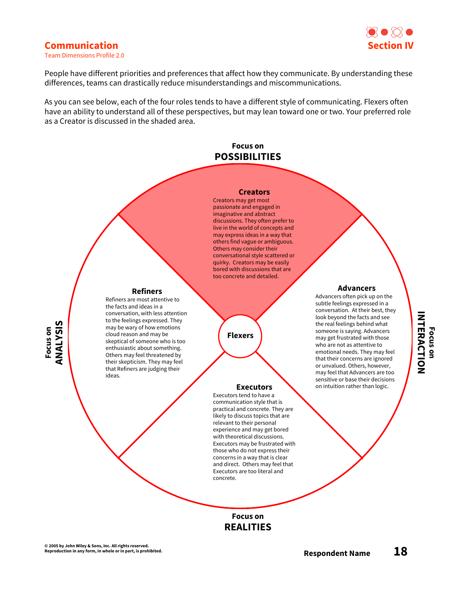

### **Communication**

**Focus on ANALYSIS**

Team Dimensions Profile 2.0

People have different priorities and preferences that affect how they communicate. By understanding these differences, teams can drastically reduce misunderstandings and miscommunications.

As you can see below, each of the four roles tends to have a different style of communicating. Flexers often have an ability to understand all of these perspectives, but may lean toward one or two. Your preferred role as a Creator is discussed in the shaded area.

### **Focus on POSSIBILITIES**

#### **Creators**

Creators may get most passionate and engaged in imaginative and abstract discussions. They often prefer to live in the world of concepts and may express ideas in a way that others find vague or ambiguous. Others may consider their conversational style scattered or quirky. Creators may be easily bored with discussions that are too concrete and detailed.

Executors tend to have a communication style that is practical and concrete. They are likely to discuss topics that are relevant to their personal experience and may get bored with theoretical discussions. Executors may be frustrated with those who do not express their concerns in a way that is clear and direct. Others may feel that Executors are too literal and

**Flexers**

**Focus on REALITIES**

concrete.

#### **Refiners** Refiners are most attentive to

the facts and ideas in a conversation, with less attention to the feelings expressed. They may be wary of how emotions cloud reason and may be skeptical of someone who is too enthusiastic about something. Others may feel threatened by their skepticism. They may feel that Refiners are judging their ideas.

#### **Advancers**

Advancers often pick up on the subtle feelings expressed in a conversation. At their best, they look beyond the facts and see the real feelings behind what someone is saying. Advancers may get frustrated with those who are not as attentive to emotional needs. They may feel that their concerns are ignored or unvalued. Others, however, may feel that Advancers are too sensitive or base their decisions **Executors** on intuition rather than logic.

# INTERACTION **INTERACTION Focus on**

**© 2005 by John Wiley & Sons, Inc. All rights reserved.**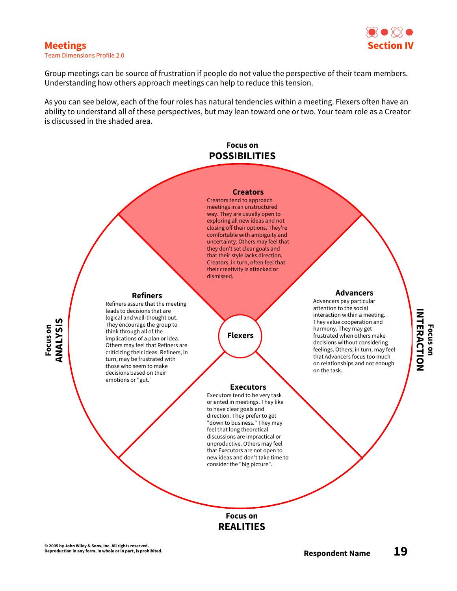

# **Meetings**

Team Dimensions Profile 2.0

Group meetings can be source of frustration if people do not value the perspective of their team members. Understanding how others approach meetings can help to reduce this tension.

As you can see below, each of the four roles has natural tendencies within a meeting. Flexers often have an ability to understand all of these perspectives, but may lean toward one or two. Your team role as a Creator is discussed in the shaded area.

## **Focus on POSSIBILITIES**

#### **Creators**

Creators tend to approach meetings in an unstructured way. They are usually open to exploring all new ideas and not closing off their options. They're comfortable with ambiguity and uncertainty. Others may feel that they don't set clear goals and that their style lacks direction. Creators, in turn, often feel that their creativity is attacked or dismissed.

**Executors** Executors tend to be very task oriented in meetings. They like to have clear goals and direction. They prefer to get "down to business." They may feel that long theoretical discussions are impractical or unproductive. Others may feel that Executors are not open to new ideas and don't take time to consider the "big picture".

**Flexers**

**Focus on ANALYSIS**

#### **Refiners**

Refiners assure that the meeting leads to decisions that are logical and well-thought out. They encourage the group to think through all of the implications of a plan or idea. Others may feel that Refiners are criticizing their ideas. Refiners, in turn, may be frustrated with those who seem to make decisions based on their emotions or "gut."

#### **Advancers**

Advancers pay particular attention to the social interaction within a meeting. They value cooperation and harmony. They may get frustrated when others make decisions without considering feelings. Others, in turn, may feel that Advancers focus too much on relationships and not enough on the task.

# INTERACTION **INTERACTION Focus on**

# **Focus on REALITIES**

**© 2005 by John Wiley & Sons, Inc. All rights reserved.**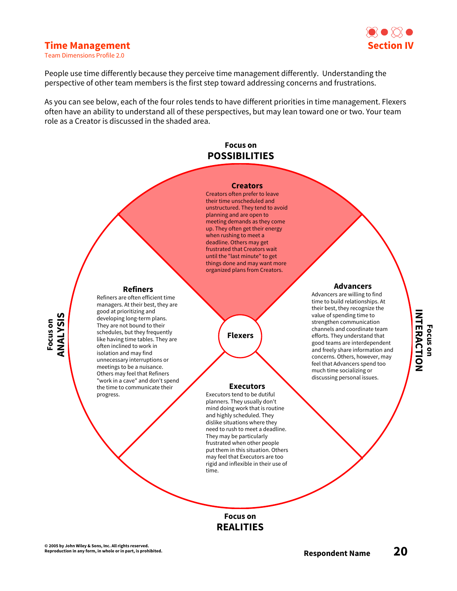

#### **Time Management**

Team Dimensions Profile 2.0

People use time differently because they perceive time management differently. Understanding the perspective of other team members is the first step toward addressing concerns and frustrations.

As you can see below, each of the four roles tends to have different priorities in time management. Flexers often have an ability to understand all of these perspectives, but may lean toward one or two. Your team role as a Creator is discussed in the shaded area.

### **Focus on POSSIBILITIES**

#### **Creators**

Creators often prefer to leave their time unscheduled and unstructured. They tend to avoid planning and are open to meeting demands as they come up. They often get their energy when rushing to meet a deadline. Others may get frustrated that Creators wait until the "last minute" to get things done and may want more organized plans from Creators.

**Flexers**

#### **Executors**

Executors tend to be dutiful planners. They usually don't mind doing work that is routine and highly scheduled. They dislike situations where they need to rush to meet a deadline. They may be particularly frustrated when other people put them in this situation. Others may feel that Executors are too rigid and inflexible in their use of time.

#### **Advancers**

Advancers are willing to find time to build relationships. At their best, they recognize the value of spending time to strengthen communication channels and coordinate team efforts. They understand that good teams are interdependent and freely share information and concerns. Others, however, may feel that Advancers spend too much time socializing or discussing personal issues.

# INTERACTION **INTERACTION Focus on**

**Focus on REALITIES**

**© 2005 by John Wiley & Sons, Inc. All rights reserved.**

progress.

**Focus on ANALYSIS**

**Refiners** Refiners are often efficient time managers. At their best, they are good at prioritizing and developing long-term plans. They are not bound to their schedules, but they frequently like having time tables. They are often inclined to work in isolation and may find unnecessary interruptions or meetings to be a nuisance. Others may feel that Refiners "work in a cave" and don't spend the time to communicate their